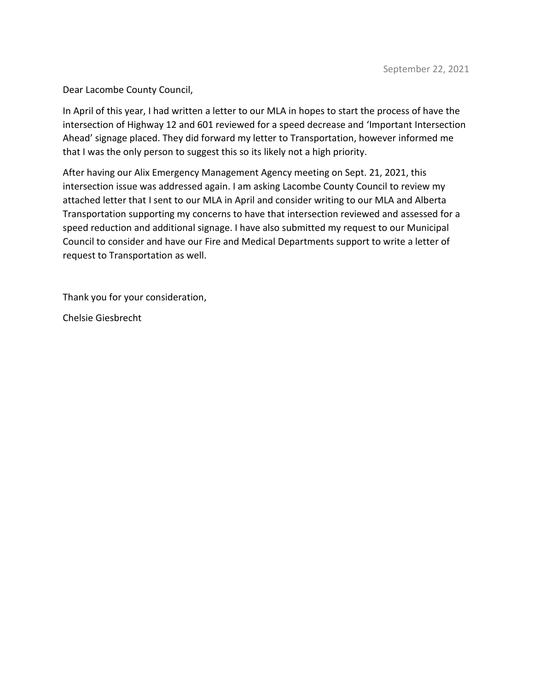Dear Lacombe County Council,

In April of this year, I had written a letter to our MLA in hopes to start the process of have the intersection of Highway 12 and 601 reviewed for a speed decrease and 'Important Intersection Ahead' signage placed. They did forward my letter to Transportation, however informed me that I was the only person to suggest this so its likely not a high priority.

After having our Alix Emergency Management Agency meeting on Sept. 21, 2021, this intersection issue was addressed again. I am asking Lacombe County Council to review my attached letter that I sent to our MLA in April and consider writing to our MLA and Alberta Transportation supporting my concerns to have that intersection reviewed and assessed for a speed reduction and additional signage. I have also submitted my request to our Municipal Council to consider and have our Fire and Medical Departments support to write a letter of request to Transportation as well.

Thank you for your consideration,

Chelsie Giesbrecht